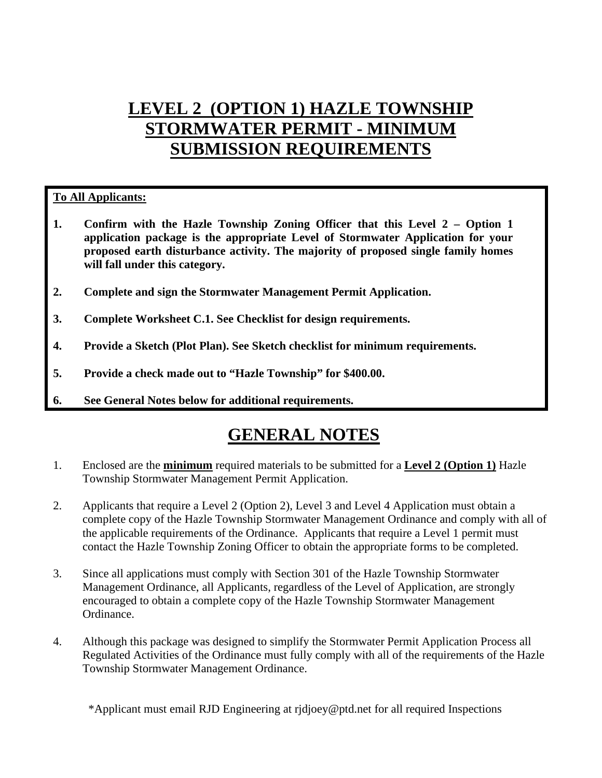# **LEVEL 2 (OPTION 1) HAZLE TOWNSHIP STORMWATER PERMIT - MINIMUM SUBMISSION REQUIREMENTS**

## **To All Applicants:**

- **1. Confirm with the Hazle Township Zoning Officer that this Level 2 Option 1 application package is the appropriate Level of Stormwater Application for your proposed earth disturbance activity. The majority of proposed single family homes will fall under this category.**
- **2. Complete and sign the Stormwater Management Permit Application.**
- **3. Complete Worksheet C.1. See Checklist for design requirements.**
- **4. Provide a Sketch (Plot Plan). See Sketch checklist for minimum requirements.**
- **5. Provide a check made out to "Hazle Township" for \$400.00.**
- **6. See General Notes below for additional requirements.**

## **GENERAL NOTES**

- 1. Enclosed are the **minimum** required materials to be submitted for a **Level 2 (Option 1)** Hazle Township Stormwater Management Permit Application.
- 2. Applicants that require a Level 2 (Option 2), Level 3 and Level 4 Application must obtain a complete copy of the Hazle Township Stormwater Management Ordinance and comply with all of the applicable requirements of the Ordinance. Applicants that require a Level 1 permit must contact the Hazle Township Zoning Officer to obtain the appropriate forms to be completed.
- 3. Since all applications must comply with Section 301 of the Hazle Township Stormwater Management Ordinance, all Applicants, regardless of the Level of Application, are strongly encouraged to obtain a complete copy of the Hazle Township Stormwater Management Ordinance.
- 4. Although this package was designed to simplify the Stormwater Permit Application Process all Regulated Activities of the Ordinance must fully comply with all of the requirements of the Hazle Township Stormwater Management Ordinance.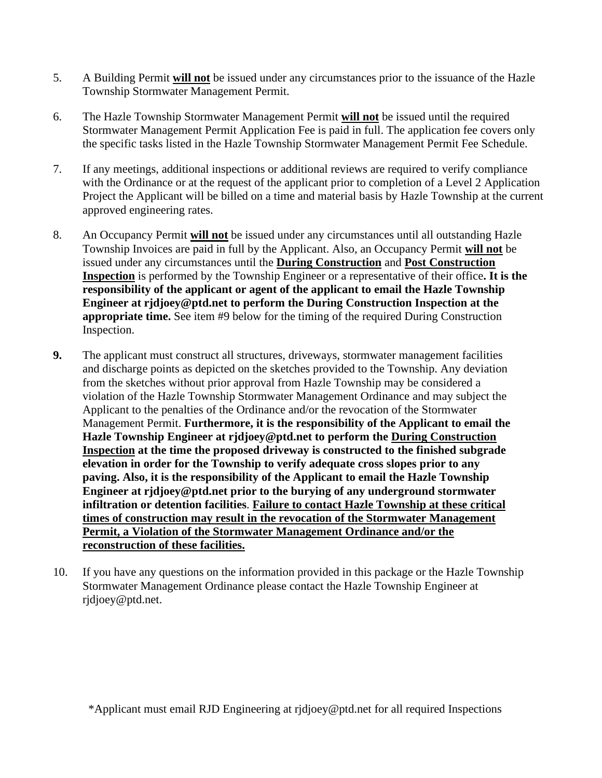- 5. A Building Permit **will not** be issued under any circumstances prior to the issuance of the Hazle Township Stormwater Management Permit.
- 6. The Hazle Township Stormwater Management Permit **will not** be issued until the required Stormwater Management Permit Application Fee is paid in full. The application fee covers only the specific tasks listed in the Hazle Township Stormwater Management Permit Fee Schedule.
- 7. If any meetings, additional inspections or additional reviews are required to verify compliance with the Ordinance or at the request of the applicant prior to completion of a Level 2 Application Project the Applicant will be billed on a time and material basis by Hazle Township at the current approved engineering rates.
- 8. An Occupancy Permit **will not** be issued under any circumstances until all outstanding Hazle Township Invoices are paid in full by the Applicant. Also, an Occupancy Permit **will not** be issued under any circumstances until the **During Construction** and **Post Construction Inspection** is performed by the Township Engineer or a representative of their office**. It is the responsibility of the applicant or agent of the applicant to email the Hazle Township Engineer at rjdjoey@ptd.net to perform the During Construction Inspection at the appropriate time.** See item #9 below for the timing of the required During Construction Inspection.
- **9.** The applicant must construct all structures, driveways, stormwater management facilities and discharge points as depicted on the sketches provided to the Township. Any deviation from the sketches without prior approval from Hazle Township may be considered a violation of the Hazle Township Stormwater Management Ordinance and may subject the Applicant to the penalties of the Ordinance and/or the revocation of the Stormwater Management Permit. **Furthermore, it is the responsibility of the Applicant to email the Hazle Township Engineer at rjdjoey@ptd.net to perform the During Construction Inspection at the time the proposed driveway is constructed to the finished subgrade elevation in order for the Township to verify adequate cross slopes prior to any paving. Also, it is the responsibility of the Applicant to email the Hazle Township Engineer at rjdjoey@ptd.net prior to the burying of any underground stormwater infiltration or detention facilities**. **Failure to contact Hazle Township at these critical times of construction may result in the revocation of the Stormwater Management Permit, a Violation of the Stormwater Management Ordinance and/or the reconstruction of these facilities.**
- 10. If you have any questions on the information provided in this package or the Hazle Township Stormwater Management Ordinance please contact the Hazle Township Engineer at rjdjoey@ptd.net.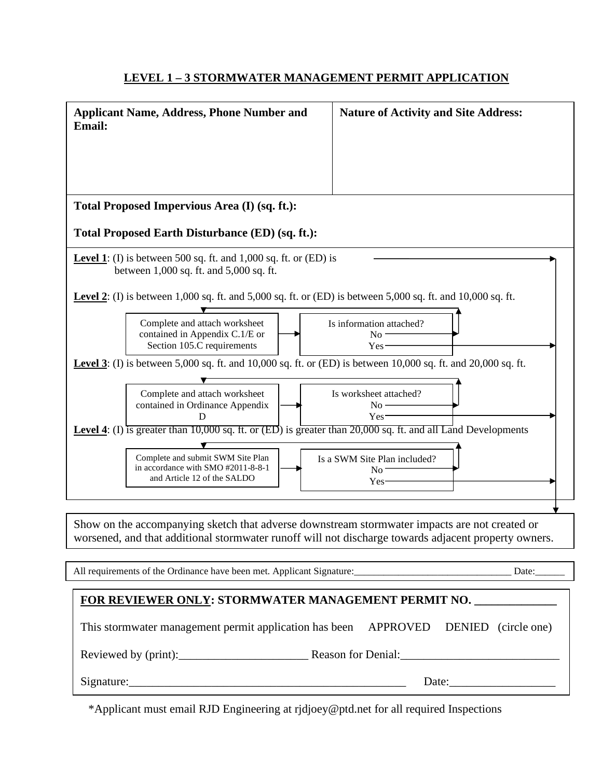### **LEVEL 1 – 3 STORMWATER MANAGEMENT PERMIT APPLICATION**

| <b>Applicant Name, Address, Phone Number and</b><br><b>Email:</b>                                                                                                                                     | <b>Nature of Activity and Site Address:</b>                    |  |  |  |
|-------------------------------------------------------------------------------------------------------------------------------------------------------------------------------------------------------|----------------------------------------------------------------|--|--|--|
|                                                                                                                                                                                                       |                                                                |  |  |  |
|                                                                                                                                                                                                       |                                                                |  |  |  |
| Total Proposed Impervious Area (I) (sq. ft.):                                                                                                                                                         |                                                                |  |  |  |
| Total Proposed Earth Disturbance (ED) (sq. ft.):                                                                                                                                                      |                                                                |  |  |  |
| <b>Level 1</b> : (I) is between 500 sq. ft. and 1,000 sq. ft. or (ED) is<br>between 1,000 sq. ft. and 5,000 sq. ft.                                                                                   |                                                                |  |  |  |
| <b>Level 2</b> : (I) is between 1,000 sq. ft. and 5,000 sq. ft. or (ED) is between 5,000 sq. ft. and 10,000 sq. ft.                                                                                   |                                                                |  |  |  |
| Complete and attach worksheet<br>contained in Appendix C.1/E or<br>Section 105.C requirements                                                                                                         | Is information attached?<br>$No -$<br>Yes-                     |  |  |  |
| <b>Level 3</b> : (I) is between 5,000 sq. ft. and 10,000 sq. ft. or (ED) is between 10,000 sq. ft. and 20,000 sq. ft.                                                                                 |                                                                |  |  |  |
| Complete and attach worksheet<br>contained in Ordinance Appendix<br>D                                                                                                                                 | Is worksheet attached?<br>$No -$<br>$Yes-$                     |  |  |  |
| <b>Level 4:</b> (I) is greater than 10,000 sq. ft. or (ED) is greater than $20,000$ sq. ft. and all Land Developments                                                                                 |                                                                |  |  |  |
| Complete and submit SWM Site Plan<br>in accordance with SMO #2011-8-8-1<br>and Article 12 of the SALDO                                                                                                | Is a SWM Site Plan included?<br>$\rm No$ .<br>Yes <sup>-</sup> |  |  |  |
|                                                                                                                                                                                                       |                                                                |  |  |  |
| Show on the accompanying sketch that adverse downstream stormwater impacts are not created or<br>worsened, and that additional stormwater runoff will not discharge towards adjacent property owners. |                                                                |  |  |  |
|                                                                                                                                                                                                       |                                                                |  |  |  |
| FOR REVIEWER ONLY: STORMWATER MANAGEMENT PERMIT NO. ______________                                                                                                                                    |                                                                |  |  |  |
| This stormwater management permit application has been APPROVED DENIED (circle one)                                                                                                                   |                                                                |  |  |  |
|                                                                                                                                                                                                       |                                                                |  |  |  |
|                                                                                                                                                                                                       | Signature:<br>Date:                                            |  |  |  |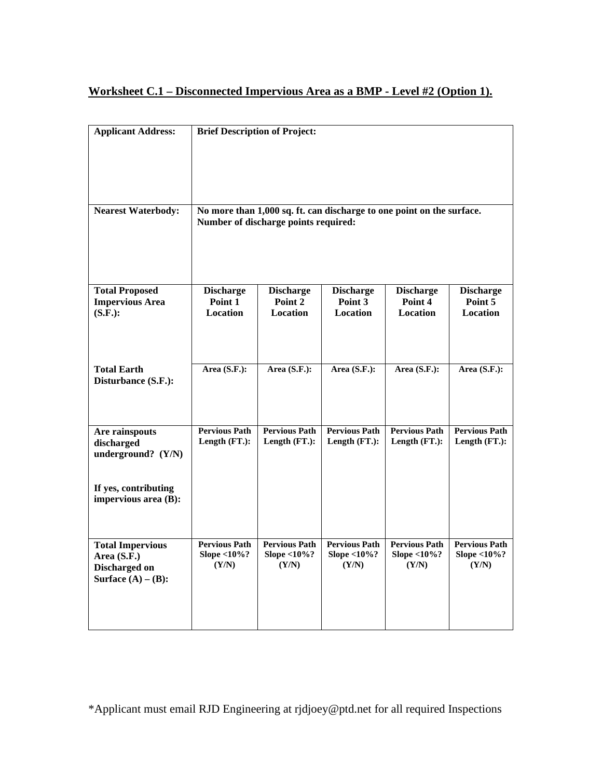### **Worksheet C.1 – Disconnected Impervious Area as a BMP - Level #2 (Option 1).**

| <b>Applicant Address:</b>                                                        | <b>Brief Description of Project:</b>                                                                          |                                                 |                                              |                                              |                                              |  |
|----------------------------------------------------------------------------------|---------------------------------------------------------------------------------------------------------------|-------------------------------------------------|----------------------------------------------|----------------------------------------------|----------------------------------------------|--|
|                                                                                  |                                                                                                               |                                                 |                                              |                                              |                                              |  |
| <b>Nearest Waterbody:</b>                                                        | No more than 1,000 sq. ft. can discharge to one point on the surface.<br>Number of discharge points required: |                                                 |                                              |                                              |                                              |  |
| <b>Total Proposed</b><br><b>Impervious Area</b>                                  | <b>Discharge</b><br>Point 1                                                                                   | <b>Discharge</b><br>Point 2                     | <b>Discharge</b><br>Point 3                  | <b>Discharge</b><br>Point 4                  | <b>Discharge</b><br>Point 5                  |  |
| $(S.F.)$ :                                                                       | Location                                                                                                      | <b>Location</b>                                 | <b>Location</b>                              | <b>Location</b>                              | Location                                     |  |
| <b>Total Earth</b><br>Disturbance (S.F.):                                        | Area $(S.F.)$ :                                                                                               | Area $(S.F.)$ :                                 | Area $(S.F.)$ :                              | Area $(S.F.)$ :                              | Area (S.F.):                                 |  |
|                                                                                  |                                                                                                               |                                                 |                                              |                                              |                                              |  |
| Are rainspouts<br>discharged<br>underground? (Y/N)                               | <b>Pervious Path</b><br>Length (FT.):                                                                         | <b>Pervious Path</b><br>Length (FT.):           | <b>Pervious Path</b><br>Length (FT.):        | <b>Pervious Path</b><br>Length (FT.):        | <b>Pervious Path</b><br>Length (FT.):        |  |
| If yes, contributing<br>impervious area (B):                                     |                                                                                                               |                                                 |                                              |                                              |                                              |  |
| <b>Total Impervious</b><br>Area (S.F.)<br>Discharged on<br>Surface $(A) - (B)$ : | <b>Pervious Path</b><br>Slope $<$ 10%?<br>(Y/N)                                                               | <b>Pervious Path</b><br>Slope $<$ 10%?<br>(Y/N) | <b>Pervious Path</b><br>Slope <10%?<br>(Y/N) | <b>Pervious Path</b><br>Slope <10%?<br>(Y/N) | <b>Pervious Path</b><br>Slope <10%?<br>(Y/N) |  |